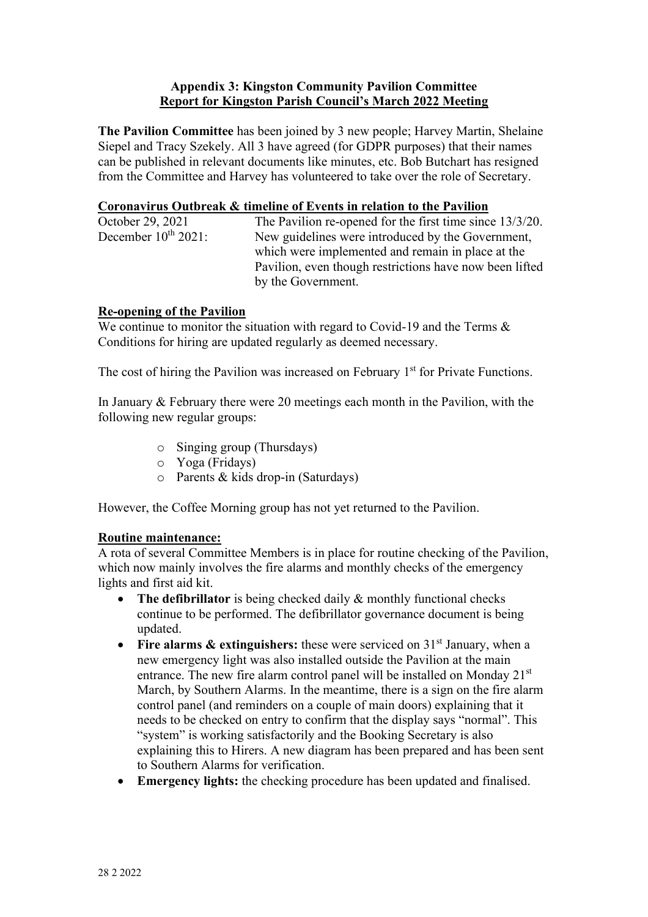## **Appendix 3: Kingston Community Pavilion Committee Report for Kingston Parish Council's March 2022 Meeting**

**The Pavilion Committee** has been joined by 3 new people; Harvey Martin, Shelaine Siepel and Tracy Szekely. All 3 have agreed (for GDPR purposes) that their names can be published in relevant documents like minutes, etc. Bob Butchart has resigned from the Committee and Harvey has volunteered to take over the role of Secretary.

#### **Coronavirus Outbreak & timeline of Events in relation to the Pavilion**

| October 29, 2021         | The Pavilion re-opened for the first time since 13/3/20. |
|--------------------------|----------------------------------------------------------|
| December $10^{th}$ 2021: | New guidelines were introduced by the Government,        |
|                          | which were implemented and remain in place at the        |
|                          | Pavilion, even though restrictions have now been lifted  |
|                          | by the Government.                                       |

# **Re-opening of the Pavilion**

We continue to monitor the situation with regard to Covid-19 and the Terms & Conditions for hiring are updated regularly as deemed necessary.

The cost of hiring the Pavilion was increased on February 1<sup>st</sup> for Private Functions.

In January & February there were 20 meetings each month in the Pavilion, with the following new regular groups:

- o Singing group (Thursdays)
- o Yoga (Fridays)
- o Parents & kids drop-in (Saturdays)

However, the Coffee Morning group has not yet returned to the Pavilion.

#### **Routine maintenance:**

A rota of several Committee Members is in place for routine checking of the Pavilion, which now mainly involves the fire alarms and monthly checks of the emergency lights and first aid kit.

- **The defibrillator** is being checked daily & monthly functional checks continue to be performed. The defibrillator governance document is being updated.
- Fire alarms & extinguishers: these were serviced on 31<sup>st</sup> January, when a new emergency light was also installed outside the Pavilion at the main entrance. The new fire alarm control panel will be installed on Monday 21<sup>st</sup> March, by Southern Alarms. In the meantime, there is a sign on the fire alarm control panel (and reminders on a couple of main doors) explaining that it needs to be checked on entry to confirm that the display says "normal". This "system" is working satisfactorily and the Booking Secretary is also explaining this to Hirers. A new diagram has been prepared and has been sent to Southern Alarms for verification.
- **Emergency lights:** the checking procedure has been updated and finalised.